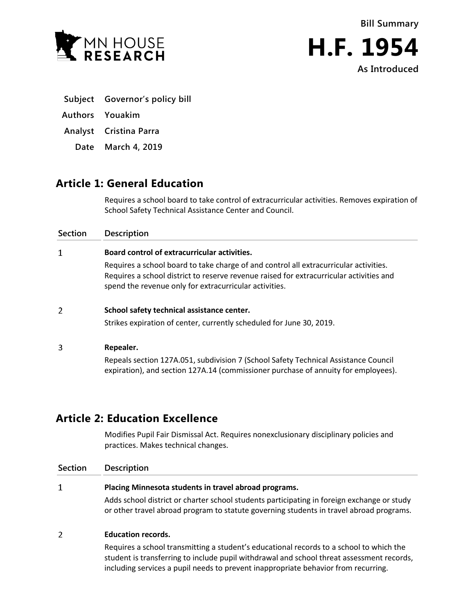**Bill Summary**





|  | Subject Governor's policy bill |  |  |
|--|--------------------------------|--|--|
|--|--------------------------------|--|--|

- **Authors Youakim**
- **Analyst Cristina Parra**
	- **Date March 4, 2019**

# **Article 1: General Education**

Requires a school board to take control of extracurricular activities. Removes expiration of School Safety Technical Assistance Center and Council.

# **Section Description**  $\mathbf{1}$ **Board control of extracurricular activities.** Requires a school board to take charge of and control all extracurricular activities. Requires a school district to reserve revenue raised for extracurricular activities and spend the revenue only for extracurricular activities.

## $\overline{2}$ **School safety technical assistance center.**

Strikes expiration of center, currently scheduled for June 30, 2019.

## 3 **Repealer.**

Repeals section 127A.051, subdivision 7 (School Safety Technical Assistance Council expiration), and section 127A.14 (commissioner purchase of annuity for employees).

# **Article 2: Education Excellence**

Modifies Pupil Fair Dismissal Act. Requires nonexclusionary disciplinary policies and practices. Makes technical changes.

| Section | <b>Description</b>                                                                                                                                                                    |  |  |
|---------|---------------------------------------------------------------------------------------------------------------------------------------------------------------------------------------|--|--|
| 1       | Placing Minnesota students in travel abroad programs.                                                                                                                                 |  |  |
|         | Adds school district or charter school students participating in foreign exchange or study<br>or other travel abroad program to statute governing students in travel abroad programs. |  |  |
| 2       | <b>Education records.</b>                                                                                                                                                             |  |  |
|         | Requires a school transmitting a student's educational records to a school to which the<br>student is transferring to include pupil withdrawal and school threat assessment records,  |  |  |

including services a pupil needs to prevent inappropriate behavior from recurring.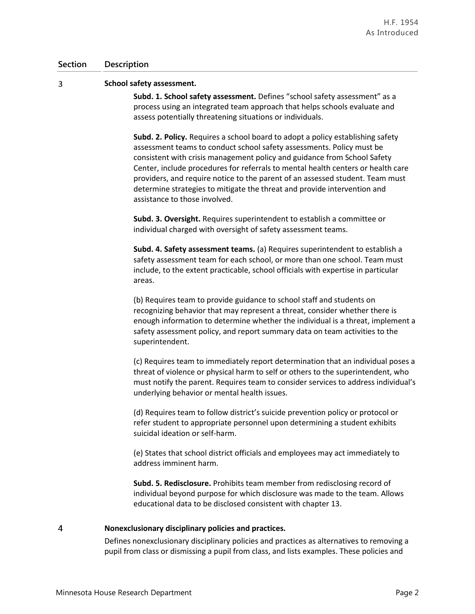#### $\overline{3}$ **School safety assessment.**

**Subd. 1. School safety assessment.** Defines "school safety assessment" as a process using an integrated team approach that helps schools evaluate and assess potentially threatening situations or individuals.

**Subd. 2. Policy.** Requires a school board to adopt a policy establishing safety assessment teams to conduct school safety assessments. Policy must be consistent with crisis management policy and guidance from School Safety Center, include procedures for referrals to mental health centers or health care providers, and require notice to the parent of an assessed student. Team must determine strategies to mitigate the threat and provide intervention and assistance to those involved.

**Subd. 3. Oversight.** Requires superintendent to establish a committee or individual charged with oversight of safety assessment teams.

**Subd. 4. Safety assessment teams.** (a) Requires superintendent to establish a safety assessment team for each school, or more than one school. Team must include, to the extent practicable, school officials with expertise in particular areas.

(b) Requires team to provide guidance to school staff and students on recognizing behavior that may represent a threat, consider whether there is enough information to determine whether the individual is a threat, implement a safety assessment policy, and report summary data on team activities to the superintendent.

(c) Requires team to immediately report determination that an individual poses a threat of violence or physical harm to self or others to the superintendent, who must notify the parent. Requires team to consider services to address individual's underlying behavior or mental health issues.

(d) Requires team to follow district's suicide prevention policy or protocol or refer student to appropriate personnel upon determining a student exhibits suicidal ideation or self-harm.

(e) States that school district officials and employees may act immediately to address imminent harm.

**Subd. 5. Redisclosure.** Prohibits team member from redisclosing record of individual beyond purpose for which disclosure was made to the team. Allows educational data to be disclosed consistent with chapter 13.

#### $\overline{4}$ **Nonexclusionary disciplinary policies and practices.**

Defines nonexclusionary disciplinary policies and practices as alternatives to removing a pupil from class or dismissing a pupil from class, and lists examples. These policies and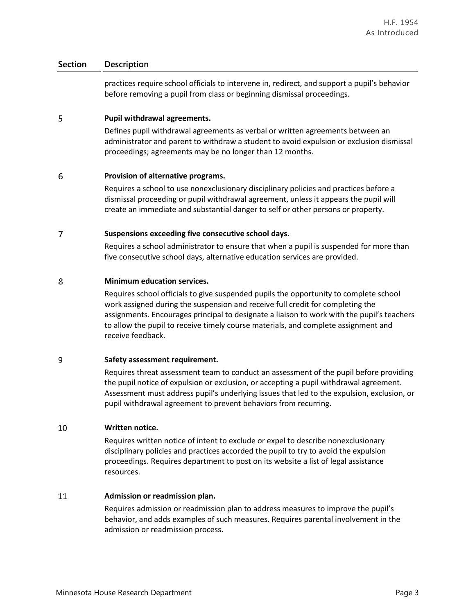practices require school officials to intervene in, redirect, and support a pupil's behavior before removing a pupil from class or beginning dismissal proceedings.

#### 5 **Pupil withdrawal agreements.**

Defines pupil withdrawal agreements as verbal or written agreements between an administrator and parent to withdraw a student to avoid expulsion or exclusion dismissal proceedings; agreements may be no longer than 12 months.

#### 6 **Provision of alternative programs.**

Requires a school to use nonexclusionary disciplinary policies and practices before a dismissal proceeding or pupil withdrawal agreement, unless it appears the pupil will create an immediate and substantial danger to self or other persons or property.

## $\overline{7}$ **Suspensions exceeding five consecutive school days.**

Requires a school administrator to ensure that when a pupil is suspended for more than five consecutive school days, alternative education services are provided.

#### 8 **Minimum education services.**

Requires school officials to give suspended pupils the opportunity to complete school work assigned during the suspension and receive full credit for completing the assignments. Encourages principal to designate a liaison to work with the pupil's teachers to allow the pupil to receive timely course materials, and complete assignment and receive feedback.

## 9 **Safety assessment requirement.**

Requires threat assessment team to conduct an assessment of the pupil before providing the pupil notice of expulsion or exclusion, or accepting a pupil withdrawal agreement. Assessment must address pupil's underlying issues that led to the expulsion, exclusion, or pupil withdrawal agreement to prevent behaviors from recurring.

## $10$ **Written notice.**

Requires written notice of intent to exclude or expel to describe nonexclusionary disciplinary policies and practices accorded the pupil to try to avoid the expulsion proceedings. Requires department to post on its website a list of legal assistance resources.

## 11 **Admission or readmission plan.**

Requires admission or readmission plan to address measures to improve the pupil's behavior, and adds examples of such measures. Requires parental involvement in the admission or readmission process.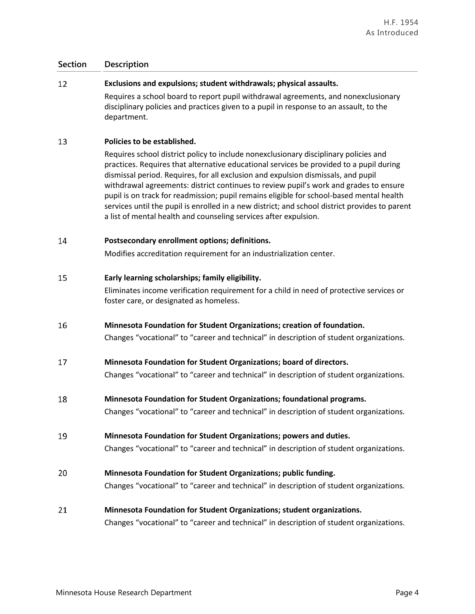# 12 **Exclusions and expulsions; student withdrawals; physical assaults.**

Requires a school board to report pupil withdrawal agreements, and nonexclusionary disciplinary policies and practices given to a pupil in response to an assault, to the department.

#### 13 **Policies to be established.**

Requires school district policy to include nonexclusionary disciplinary policies and practices. Requires that alternative educational services be provided to a pupil during dismissal period. Requires, for all exclusion and expulsion dismissals, and pupil withdrawal agreements: district continues to review pupil's work and grades to ensure pupil is on track for readmission; pupil remains eligible for school-based mental health services until the pupil is enrolled in a new district; and school district provides to parent a list of mental health and counseling services after expulsion.

## 14 **Postsecondary enrollment options; definitions.**

Modifies accreditation requirement for an industrialization center.

#### 15 **Early learning scholarships; family eligibility.**

Eliminates income verification requirement for a child in need of protective services or foster care, or designated as homeless.

16 **Minnesota Foundation for Student Organizations; creation of foundation.**

Changes "vocational" to "career and technical" in description of student organizations.

17 **Minnesota Foundation for Student Organizations; board of directors.**

Changes "vocational" to "career and technical" in description of student organizations.

18 **Minnesota Foundation for Student Organizations; foundational programs.**

Changes "vocational" to "career and technical" in description of student organizations.

#### 19 **Minnesota Foundation for Student Organizations; powers and duties.**

Changes "vocational" to "career and technical" in description of student organizations.

20 **Minnesota Foundation for Student Organizations; public funding.**

Changes "vocational" to "career and technical" in description of student organizations.

# 21 **Minnesota Foundation for Student Organizations; student organizations.**

Changes "vocational" to "career and technical" in description of student organizations.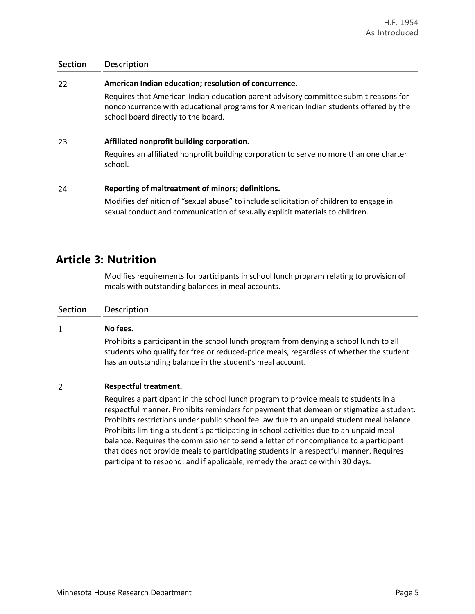#### 22 **American Indian education; resolution of concurrence.**

Requires that American Indian education parent advisory committee submit reasons for nonconcurrence with educational programs for American Indian students offered by the school board directly to the board.

#### 23 **Affiliated nonprofit building corporation.**

Requires an affiliated nonprofit building corporation to serve no more than one charter school.

#### 24 **Reporting of maltreatment of minors; definitions.**

Modifies definition of "sexual abuse" to include solicitation of children to engage in sexual conduct and communication of sexually explicit materials to children.

# **Article 3: Nutrition**

Modifies requirements for participants in school lunch program relating to provision of meals with outstanding balances in meal accounts.

# **Section Description**

## $\mathbf{1}$ **No fees.**

Prohibits a participant in the school lunch program from denying a school lunch to all students who qualify for free or reduced-price meals, regardless of whether the student has an outstanding balance in the student's meal account.

## $\overline{2}$ **Respectful treatment.**

Requires a participant in the school lunch program to provide meals to students in a respectful manner. Prohibits reminders for payment that demean or stigmatize a student. Prohibits restrictions under public school fee law due to an unpaid student meal balance. Prohibits limiting a student's participating in school activities due to an unpaid meal balance. Requires the commissioner to send a letter of noncompliance to a participant that does not provide meals to participating students in a respectful manner. Requires participant to respond, and if applicable, remedy the practice within 30 days.